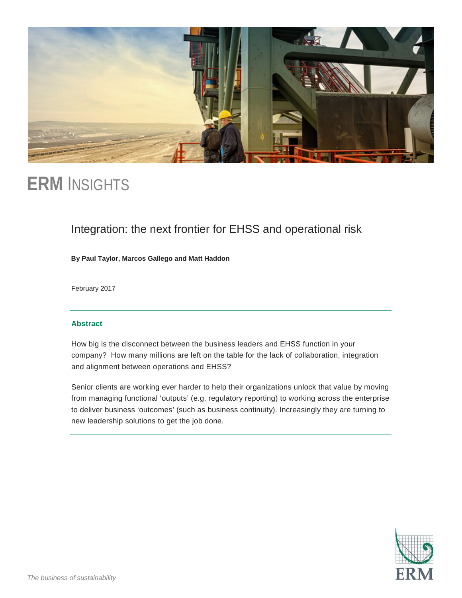

# **ERM** INSIGHTS

### Integration: the next frontier for EHSS and operational risk

**By Paul Taylor, Marcos Gallego and Matt Haddon**

February 2017

### **Abstract**

How big is the disconnect between the business leaders and EHSS function in your company? How many millions are left on the table for the lack of collaboration, integration and alignment between operations and EHSS?

Senior clients are working ever harder to help their organizations unlock that value by moving from managing functional 'outputs' (e.g. regulatory reporting) to working across the enterprise to deliver business 'outcomes' (such as business continuity). Increasingly they are turning to new leadership solutions to get the job done.

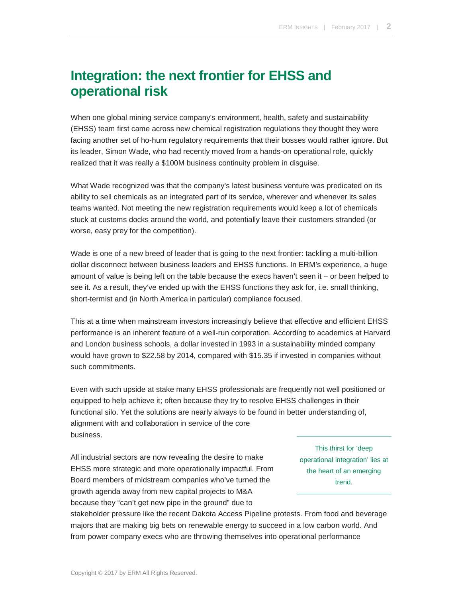## **Integration: the next frontier for EHSS and operational risk**

When one global mining service company's environment, health, safety and sustainability (EHSS) team first came across new chemical registration regulations they thought they were facing another set of ho-hum regulatory requirements that their bosses would rather ignore. But its leader, Simon Wade, who had recently moved from a hands-on operational role, quickly realized that it was really a \$100M business continuity problem in disguise.

What Wade recognized was that the company's latest business venture was predicated on its ability to sell chemicals as an integrated part of its service, wherever and whenever its sales teams wanted. Not meeting the new registration requirements would keep a lot of chemicals stuck at customs docks around the world, and potentially leave their customers stranded (or worse, easy prey for the competition).

Wade is one of a new breed of leader that is going to the next frontier: tackling a multi-billion dollar disconnect between business leaders and EHSS functions. In ERM's experience, a huge amount of value is being left on the table because the execs haven't seen it – or been helped to see it. As a result, they've ended up with the EHSS functions they ask for, i.e. small thinking, short-termist and (in North America in particular) compliance focused.

This at a time when mainstream investors increasingly believe that effective and efficient EHSS performance is an inherent feature of a well-run corporation. According to academics at Harvard and London business schools, a dollar invested in 1993 in a sustainability minded company would have grown to \$22.58 by 2014, compared with \$15.35 if invested in companies without such commitments.

Even with such upside at stake many EHSS professionals are frequently not well positioned or equipped to help achieve it; often because they try to resolve EHSS challenges in their functional silo. Yet the solutions are nearly always to be found in better understanding of, alignment with and collaboration in service of the core business.

All industrial sectors are now revealing the desire to make EHSS more strategic and more operationally impactful. From Board members of midstream companies who've turned the growth agenda away from new capital projects to M&A because they "can't get new pipe in the ground" due to

This thirst for 'deep operational integration' lies at the heart of an emerging trend.

stakeholder pressure like the recent Dakota Access Pipeline protests. From food and beverage majors that are making big bets on renewable energy to succeed in a low carbon world. And from power company execs who are throwing themselves into operational performance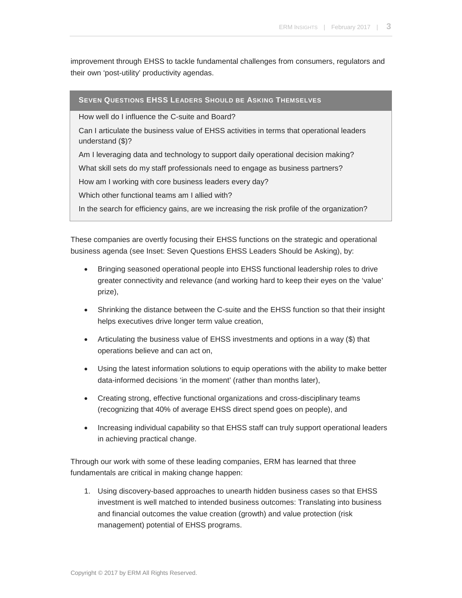improvement through EHSS to tackle fundamental challenges from consumers, regulators and their own 'post-utility' productivity agendas.

#### **SEVEN QUESTIONS EHSS LEADERS SHOULD BE ASKING THEMSELVES**

How well do I influence the C-suite and Board?

Can I articulate the business value of EHSS activities in terms that operational leaders understand (\$)?

Am I leveraging data and technology to support daily operational decision making?

What skill sets do my staff professionals need to engage as business partners?

How am I working with core business leaders every day?

Which other functional teams am I allied with?

In the search for efficiency gains, are we increasing the risk profile of the organization?

These companies are overtly focusing their EHSS functions on the strategic and operational business agenda (see Inset: Seven Questions EHSS Leaders Should be Asking), by:

- Bringing seasoned operational people into EHSS functional leadership roles to drive greater connectivity and relevance (and working hard to keep their eyes on the 'value' prize),
- Shrinking the distance between the C-suite and the EHSS function so that their insight helps executives drive longer term value creation,
- Articulating the business value of EHSS investments and options in a way (\$) that operations believe and can act on,
- Using the latest information solutions to equip operations with the ability to make better data-informed decisions 'in the moment' (rather than months later),
- Creating strong, effective functional organizations and cross-disciplinary teams (recognizing that 40% of average EHSS direct spend goes on people), and
- Increasing individual capability so that EHSS staff can truly support operational leaders in achieving practical change.

Through our work with some of these leading companies, ERM has learned that three fundamentals are critical in making change happen:

1. Using discovery-based approaches to unearth hidden business cases so that EHSS investment is well matched to intended business outcomes: Translating into business and financial outcomes the value creation (growth) and value protection (risk management) potential of EHSS programs.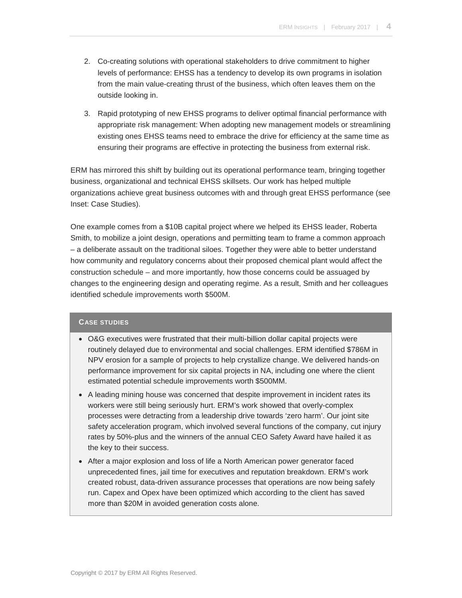- 2. Co-creating solutions with operational stakeholders to drive commitment to higher levels of performance: EHSS has a tendency to develop its own programs in isolation from the main value-creating thrust of the business, which often leaves them on the outside looking in.
- 3. Rapid prototyping of new EHSS programs to deliver optimal financial performance with appropriate risk management: When adopting new management models or streamlining existing ones EHSS teams need to embrace the drive for efficiency at the same time as ensuring their programs are effective in protecting the business from external risk.

ERM has mirrored this shift by building out its operational performance team, bringing together business, organizational and technical EHSS skillsets. Our work has helped multiple organizations achieve great business outcomes with and through great EHSS performance (see Inset: Case Studies).

One example comes from a \$10B capital project where we helped its EHSS leader, Roberta Smith, to mobilize a joint design, operations and permitting team to frame a common approach – a deliberate assault on the traditional siloes. Together they were able to better understand how community and regulatory concerns about their proposed chemical plant would affect the construction schedule – and more importantly, how those concerns could be assuaged by changes to the engineering design and operating regime. As a result, Smith and her colleagues identified schedule improvements worth \$500M.

### **CASE STUDIES**

- O&G executives were frustrated that their multi-billion dollar capital projects were routinely delayed due to environmental and social challenges. ERM identified \$786M in NPV erosion for a sample of projects to help crystallize change. We delivered hands-on performance improvement for six capital projects in NA, including one where the client estimated potential schedule improvements worth \$500MM.
- A leading mining house was concerned that despite improvement in incident rates its workers were still being seriously hurt. ERM's work showed that overly-complex processes were detracting from a leadership drive towards 'zero harm'. Our joint site safety acceleration program, which involved several functions of the company, cut injury rates by 50%-plus and the winners of the annual CEO Safety Award have hailed it as the key to their success.
- After a major explosion and loss of life a North American power generator faced unprecedented fines, jail time for executives and reputation breakdown. ERM's work created robust, data-driven assurance processes that operations are now being safely run. Capex and Opex have been optimized which according to the client has saved more than \$20M in avoided generation costs alone.